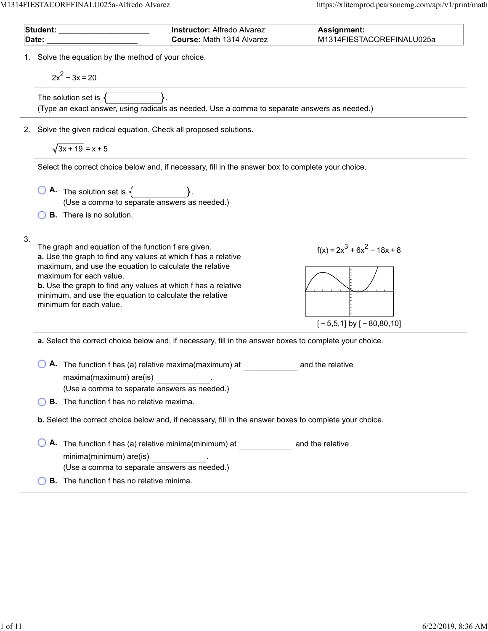| 1. Solve the equation by the method of your choice.<br>$2x^2 - 3x = 20$<br>The solution set is $\{$<br>(Type an exact answer, using radicals as needed. Use a comma to separate answers as needed.)<br>Solve the given radical equation. Check all proposed solutions.<br>2.<br>$\sqrt{3x+19}$ = x + 5<br>Select the correct choice below and, if necessary, fill in the answer box to complete your choice.<br><b>A.</b> The solution set is $\{\_\_\_\_\_\_\_\_\_\_\_\_\_\_\_\_\_\_\_\_\_\_\_\_\_\_\_\_\_\_\_$<br>(Use a comma to separate answers as needed.)<br><b>B.</b> There is no solution.<br>3.<br>The graph and equation of the function f are given.<br>$f(x) = 2x^3 + 6x^2 - 18x + 8$<br>a. Use the graph to find any values at which f has a relative<br>maximum, and use the equation to calculate the relative<br>maximum for each value.<br><b>b.</b> Use the graph to find any values at which f has a relative<br>minimum, and use the equation to calculate the relative<br>minimum for each value.<br>$[-5,5,1]$ by $[-80,80,10]$<br>a. Select the correct choice below and, if necessary, fill in the answer boxes to complete your choice.<br>A. The function f has (a) relative maxima(maximum) at<br>and the relative<br>maxima(maximum) are(is)<br>(Use a comma to separate answers as needed.)<br><b>B.</b> The function f has no relative maxima.<br>b. Select the correct choice below and, if necessary, fill in the answer boxes to complete your choice.<br>A. The function f has (a) relative minima(minimum) at<br>and the relative<br>minima(minimum) are(is)<br>(Use a comma to separate answers as needed.)<br><b>B.</b> The function f has no relative minima. | Date: | Student: ________________<br><b>Instructor: Alfredo Alvarez</b><br>Course: Math 1314 Alvarez | Assignment:<br>M1314FIESTACOREFINALU025a |
|------------------------------------------------------------------------------------------------------------------------------------------------------------------------------------------------------------------------------------------------------------------------------------------------------------------------------------------------------------------------------------------------------------------------------------------------------------------------------------------------------------------------------------------------------------------------------------------------------------------------------------------------------------------------------------------------------------------------------------------------------------------------------------------------------------------------------------------------------------------------------------------------------------------------------------------------------------------------------------------------------------------------------------------------------------------------------------------------------------------------------------------------------------------------------------------------------------------------------------------------------------------------------------------------------------------------------------------------------------------------------------------------------------------------------------------------------------------------------------------------------------------------------------------------------------------------------------------------------------------------------------------------------------------------------------------------------|-------|----------------------------------------------------------------------------------------------|------------------------------------------|
|                                                                                                                                                                                                                                                                                                                                                                                                                                                                                                                                                                                                                                                                                                                                                                                                                                                                                                                                                                                                                                                                                                                                                                                                                                                                                                                                                                                                                                                                                                                                                                                                                                                                                                      |       |                                                                                              |                                          |
|                                                                                                                                                                                                                                                                                                                                                                                                                                                                                                                                                                                                                                                                                                                                                                                                                                                                                                                                                                                                                                                                                                                                                                                                                                                                                                                                                                                                                                                                                                                                                                                                                                                                                                      |       |                                                                                              |                                          |
|                                                                                                                                                                                                                                                                                                                                                                                                                                                                                                                                                                                                                                                                                                                                                                                                                                                                                                                                                                                                                                                                                                                                                                                                                                                                                                                                                                                                                                                                                                                                                                                                                                                                                                      |       |                                                                                              |                                          |
|                                                                                                                                                                                                                                                                                                                                                                                                                                                                                                                                                                                                                                                                                                                                                                                                                                                                                                                                                                                                                                                                                                                                                                                                                                                                                                                                                                                                                                                                                                                                                                                                                                                                                                      |       |                                                                                              |                                          |
|                                                                                                                                                                                                                                                                                                                                                                                                                                                                                                                                                                                                                                                                                                                                                                                                                                                                                                                                                                                                                                                                                                                                                                                                                                                                                                                                                                                                                                                                                                                                                                                                                                                                                                      |       |                                                                                              |                                          |
|                                                                                                                                                                                                                                                                                                                                                                                                                                                                                                                                                                                                                                                                                                                                                                                                                                                                                                                                                                                                                                                                                                                                                                                                                                                                                                                                                                                                                                                                                                                                                                                                                                                                                                      |       |                                                                                              |                                          |
|                                                                                                                                                                                                                                                                                                                                                                                                                                                                                                                                                                                                                                                                                                                                                                                                                                                                                                                                                                                                                                                                                                                                                                                                                                                                                                                                                                                                                                                                                                                                                                                                                                                                                                      |       |                                                                                              |                                          |
|                                                                                                                                                                                                                                                                                                                                                                                                                                                                                                                                                                                                                                                                                                                                                                                                                                                                                                                                                                                                                                                                                                                                                                                                                                                                                                                                                                                                                                                                                                                                                                                                                                                                                                      |       |                                                                                              |                                          |
|                                                                                                                                                                                                                                                                                                                                                                                                                                                                                                                                                                                                                                                                                                                                                                                                                                                                                                                                                                                                                                                                                                                                                                                                                                                                                                                                                                                                                                                                                                                                                                                                                                                                                                      |       |                                                                                              |                                          |
|                                                                                                                                                                                                                                                                                                                                                                                                                                                                                                                                                                                                                                                                                                                                                                                                                                                                                                                                                                                                                                                                                                                                                                                                                                                                                                                                                                                                                                                                                                                                                                                                                                                                                                      |       |                                                                                              |                                          |
|                                                                                                                                                                                                                                                                                                                                                                                                                                                                                                                                                                                                                                                                                                                                                                                                                                                                                                                                                                                                                                                                                                                                                                                                                                                                                                                                                                                                                                                                                                                                                                                                                                                                                                      |       |                                                                                              |                                          |
|                                                                                                                                                                                                                                                                                                                                                                                                                                                                                                                                                                                                                                                                                                                                                                                                                                                                                                                                                                                                                                                                                                                                                                                                                                                                                                                                                                                                                                                                                                                                                                                                                                                                                                      |       |                                                                                              |                                          |
|                                                                                                                                                                                                                                                                                                                                                                                                                                                                                                                                                                                                                                                                                                                                                                                                                                                                                                                                                                                                                                                                                                                                                                                                                                                                                                                                                                                                                                                                                                                                                                                                                                                                                                      |       |                                                                                              |                                          |
|                                                                                                                                                                                                                                                                                                                                                                                                                                                                                                                                                                                                                                                                                                                                                                                                                                                                                                                                                                                                                                                                                                                                                                                                                                                                                                                                                                                                                                                                                                                                                                                                                                                                                                      |       |                                                                                              |                                          |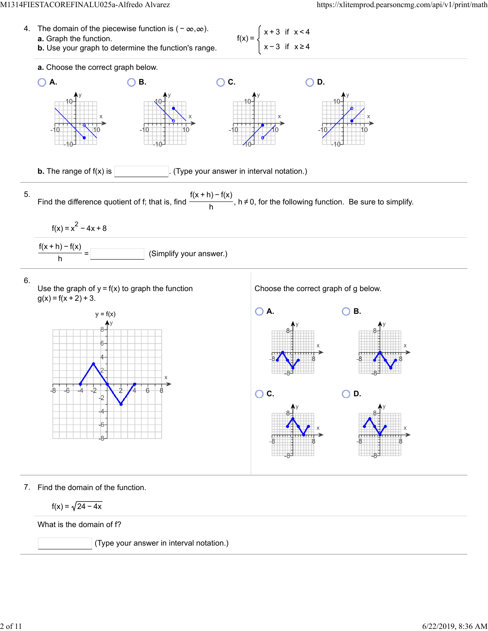



7. Find the domain of the function.

$$
f(x) = \sqrt{24 - 4x}
$$

What is the domain of f?

(Type your answer in interval notation.)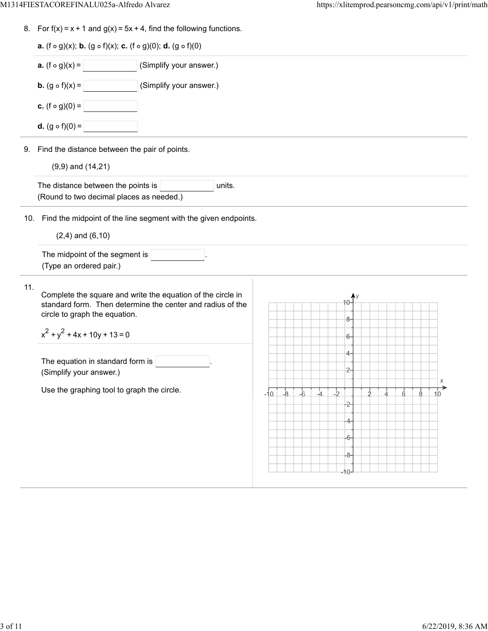8. For  $f(x) = x + 1$  and  $g(x) = 5x + 4$ , find the following functions.

|     | <b>a.</b> (f $\circ$ g)(x); <b>b.</b> (g $\circ$ f)(x); <b>c.</b> (f $\circ$ g)(0); <b>d.</b> (g $\circ$ f)(0)            |  |                 |  |      |      |       |               |           |                |               |    |
|-----|---------------------------------------------------------------------------------------------------------------------------|--|-----------------|--|------|------|-------|---------------|-----------|----------------|---------------|----|
|     | <b>a.</b> $(f \circ g)(x) =$<br>(Simplify your answer.)                                                                   |  |                 |  |      |      |       |               |           |                |               |    |
|     | <b>b.</b> $(g \circ f)(x) =$<br>(Simplify your answer.)                                                                   |  |                 |  |      |      |       |               |           |                |               |    |
|     | <b>c.</b> $(f \circ g)(0) =$                                                                                              |  |                 |  |      |      |       |               |           |                |               |    |
|     | <b>d.</b> $(g \circ f)(0) =$                                                                                              |  |                 |  |      |      |       |               |           |                |               |    |
|     | 9. Find the distance between the pair of points.                                                                          |  |                 |  |      |      |       |               |           |                |               |    |
|     | $(9,9)$ and $(14,21)$                                                                                                     |  |                 |  |      |      |       |               |           |                |               |    |
|     | The distance between the points is<br>units.<br>(Round to two decimal places as needed.)                                  |  |                 |  |      |      |       |               |           |                |               |    |
|     | 10. Find the midpoint of the line segment with the given endpoints.                                                       |  |                 |  |      |      |       |               |           |                |               |    |
|     | $(2,4)$ and $(6,10)$                                                                                                      |  |                 |  |      |      |       |               |           |                |               |    |
|     |                                                                                                                           |  |                 |  |      |      |       |               |           |                |               |    |
|     | The midpoint of the segment is<br>(Type an ordered pair.)                                                                 |  |                 |  |      |      |       |               |           |                |               |    |
|     | Complete the square and write the equation of the circle in<br>standard form. Then determine the center and radius of the |  |                 |  |      |      |       |               |           |                |               |    |
|     | circle to graph the equation.                                                                                             |  |                 |  |      |      | 8-    |               |           |                |               |    |
|     | $x^{2} + y^{2} + 4x + 10y + 13 = 0$                                                                                       |  |                 |  |      |      | $6-$  |               |           |                |               |    |
| 11. |                                                                                                                           |  |                 |  |      |      | 4-    |               |           |                |               |    |
|     | The equation in standard form is                                                                                          |  |                 |  |      |      | $2-$  |               |           |                |               |    |
|     | (Simplify your answer.)                                                                                                   |  |                 |  |      |      |       |               |           |                |               | X  |
|     | Use the graphing tool to graph the circle.                                                                                |  | $-10$ $-8$ $-6$ |  | $-4$ | $-2$ | -2-1  | $\frac{1}{2}$ | $\dot{A}$ | $\overline{6}$ | $\frac{1}{8}$ | 10 |
|     |                                                                                                                           |  |                 |  |      |      |       |               |           |                |               |    |
|     |                                                                                                                           |  |                 |  |      |      | $-6-$ |               |           |                |               |    |
|     |                                                                                                                           |  |                 |  |      |      | -8-   |               |           |                |               |    |

 $\overline{\phantom{0}}$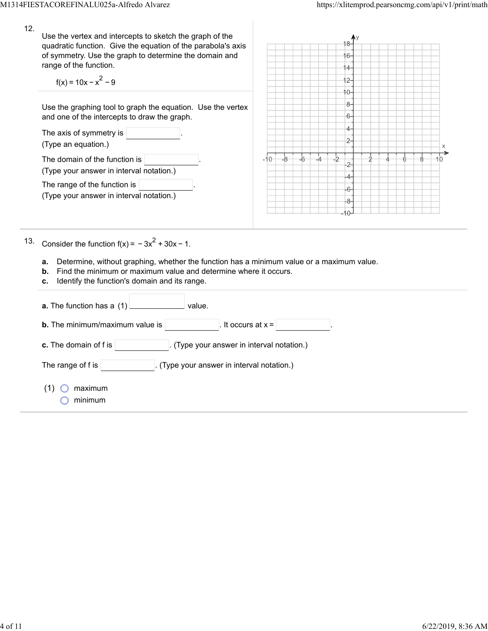| 12. | Use the vertex and intercepts to sketch the graph of the<br>quadratic function. Give the equation of the parabola's axis<br>of symmetry. Use the graph to determine the domain and<br>range of the function.<br>$f(x) = 10x - x^2 - 9$<br>Use the graphing tool to graph the equation. Use the vertex<br>and one of the intercepts to draw the graph.<br>The axis of symmetry is $ $<br>(Type an equation.)                                                                                                                                                                                                                             |       |    |  |  | 6.<br>$\overline{4}$<br>$2 -$<br>0-<br>8-<br>6-<br>4.<br>2- |  |  |  |    |  |
|-----|-----------------------------------------------------------------------------------------------------------------------------------------------------------------------------------------------------------------------------------------------------------------------------------------------------------------------------------------------------------------------------------------------------------------------------------------------------------------------------------------------------------------------------------------------------------------------------------------------------------------------------------------|-------|----|--|--|-------------------------------------------------------------|--|--|--|----|--|
|     | The domain of the function is<br>(Type your answer in interval notation.)<br>The range of the function is<br>(Type your answer in interval notation.)                                                                                                                                                                                                                                                                                                                                                                                                                                                                                   | $-10$ | -8 |  |  | 2-<br>$6 -$<br>8                                            |  |  |  | HΟ |  |
| 13. | Consider the function $f(x) = -3x^2 + 30x - 1$ .<br>Determine, without graphing, whether the function has a minimum value or a maximum value.<br>а.<br>Find the minimum or maximum value and determine where it occurs.<br>b.<br>Identify the function's domain and its range.<br>с.<br><b>Contract Contract Contract</b><br>value.<br><b>a.</b> The function has a $(1)$<br><b>b.</b> The minimum/maximum value is $\vert$<br>It occurs at $x =$<br>c. The domain of f is<br>(Type your answer in interval notation.)<br>The range of $f$ is $ $<br>(Type your answer in interval notation.)<br>$(1)$ $\bigcirc$<br>maximum<br>minimum |       |    |  |  |                                                             |  |  |  |    |  |
|     |                                                                                                                                                                                                                                                                                                                                                                                                                                                                                                                                                                                                                                         |       |    |  |  |                                                             |  |  |  |    |  |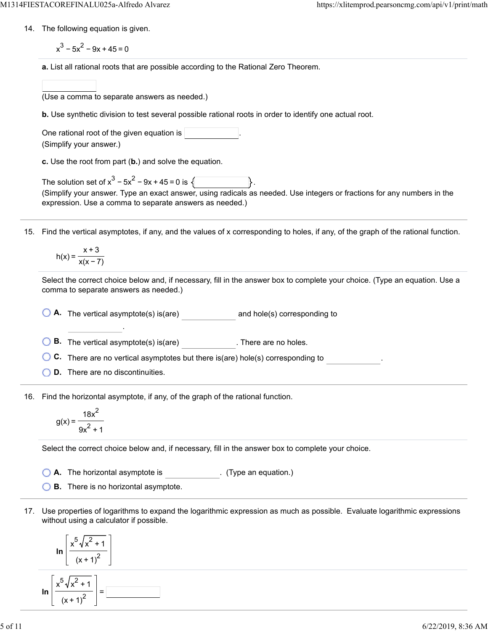- 14. The following equation is given.
	- $x^3 5x^2 9x + 45 = 0$
	- **a.** List all rational roots that are possible according to the Rational Zero Theorem.
	- (Use a comma to separate answers as needed.)
	- **b.** Use synthetic division to test several possible rational roots in order to identify one actual root.

| One rational root of the given equation is |  |
|--------------------------------------------|--|
| (Simplify your answer.)                    |  |

**c.** Use the root from part (**b.**) and solve the equation.

| The solution set of $x^3 - 5x^2 - 9x + 45 = 0$ is $\sqrt{ }$ |                                                                                                                         |  |
|--------------------------------------------------------------|-------------------------------------------------------------------------------------------------------------------------|--|
|                                                              | (Simplify your answer. Type an exact answer, using radicals as needed. Use integers or fractions for any numbers in the |  |
| expression. Use a comma to separate answers as needed.)      |                                                                                                                         |  |

15. Find the vertical asymptotes, if any, and the values of x corresponding to holes, if any, of the graph of the rational function.

$$
h(x) = \frac{x+3}{x(x-7)}
$$

Select the correct choice below and, if necessary, fill in the answer box to complete your choice. (Type an equation. Use a comma to separate answers as needed.)

**A.** The vertical asymptote(s) is(are) and hole(s) corresponding to

**B.** The vertical asymptote(s) is(are) . There are no holes.

**C.** There are no vertical asymptotes but there is(are) hole(s) corresponding to

**D.** There are no discontinuities.

.

16. Find the horizontal asymptote, if any, of the graph of the rational function.

$$
g(x) = \frac{18x^2}{9x^2 + 1}
$$

Select the correct choice below and, if necessary, fill in the answer box to complete your choice.

- **A.** The horizontal asymptote is . (Type an equation.)
- **B.** There is no horizontal asymptote.
- 17. Use properties of logarithms to expand the logarithmic expression as much as possible. Evaluate logarithmic expressions without using a calculator if possible.

$$
\ln\left[\frac{x^5\sqrt{x^2+1}}{\left(x+1\right)^2}\right]
$$

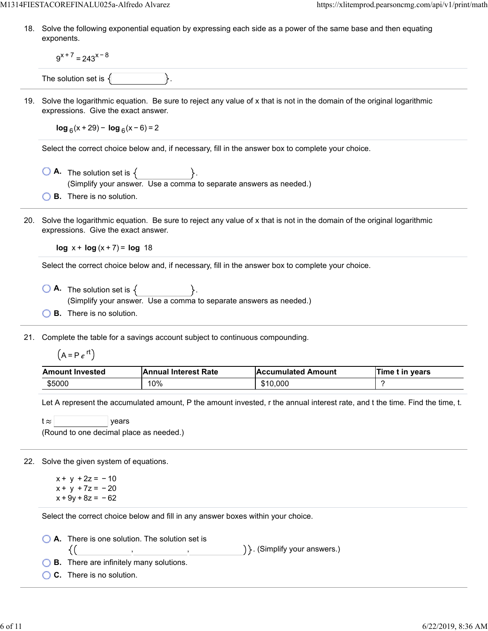18. Solve the following exponential equation by expressing each side as a power of the same base and then equating exponents.

 $9^{x+7}$  = 243<sup>x-8</sup>

The solution set is  $\{$ 

19. Solve the logarithmic equation. Be sure to reject any value of x that is not in the domain of the original logarithmic expressions. Give the exact answer.

**log**  $_6$ (x + 29) − **log**  $_6$ (x − 6) = 2

Select the correct choice below and, if necessary, fill in the answer box to complete your choice.

- $\bigcirc$  **A.** The solution set is  $\{$ (Simplify your answer. Use a comma to separate answers as needed.)
- **B.** There is no solution.
- 20. Solve the logarithmic equation. Be sure to reject any value of x that is not in the domain of the original logarithmic expressions. Give the exact answer.

**log**  $x + \log(x + 7) = \log 18$ 

Select the correct choice below and, if necessary, fill in the answer box to complete your choice.

- $\overline{A}$  The solution set is  $\{$ (Simplify your answer. Use a comma to separate answers as needed.)
- **B.** There is no solution.

21. Complete the table for a savings account subject to continuous compounding.

 $(A = Pe^{rt})$ 

| <b>Amount Invested</b> | <b>Annual Interest Rate</b> | <b>Accumulated Amount</b> | Time t in years |
|------------------------|-----------------------------|---------------------------|-----------------|
| \$5000                 | 10%                         | \$10,000                  |                 |

Let A represent the accumulated amount, P the amount invested, r the annual interest rate, and t the time. Find the time, t.

| t $\approx$ 1 |                                         | <i>vears</i> |  |
|---------------|-----------------------------------------|--------------|--|
|               | (Round to one decimal place as needed.) |              |  |

22. Solve the given system of equations.

 $x + y + 2z = -10$  $x + y + 7z = -20$  $x + 9y + 8z = -62$ 

Select the correct choice below and fill in any answer boxes within your choice.

, ,

**A.** There is one solution. The solution set is

) }. (Simplify your answers.)

**B.** There are infinitely many solutions.

**C.** There is no solution.

{(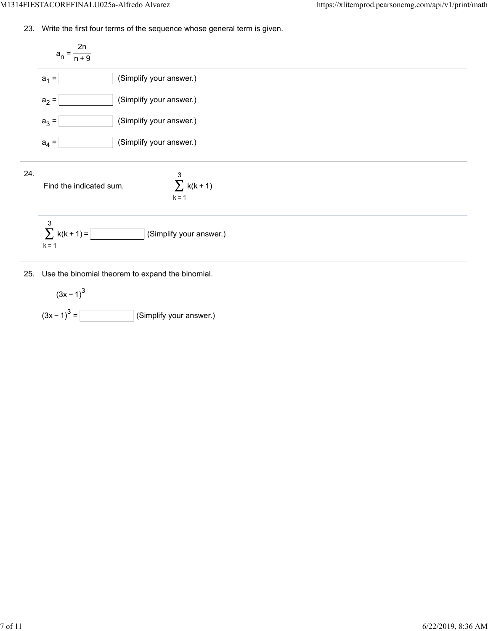23. Write the first four terms of the sequence whose general term is given.

$$
a_{n} = \frac{2n}{n+9}
$$
\n
$$
a_{1} = \boxed{\qquad \qquad \text{(Simplify your answer.)}}
$$
\n
$$
a_{2} = \boxed{\qquad \qquad \text{(Simplify your answer.)}}
$$
\n
$$
a_{3} = \boxed{\qquad \qquad \text{(Simplify your answer.)}}
$$
\n
$$
a_{4} = \boxed{\qquad \qquad \text{(Simplify your answer.)}}
$$
\n
$$
24.
$$
\n
$$
a_{5} = \boxed{\qquad \qquad \text{(Simplify your answer.)}}
$$
\n
$$
\sum_{k=1}^{3} k(k+1)
$$
\n
$$
k = 1
$$

25. Use the binomial theorem to expand the binomial.

$$
(3x-1)^3
$$
  

$$
(3x-1)^3 =
$$
 (Simplify your answer.)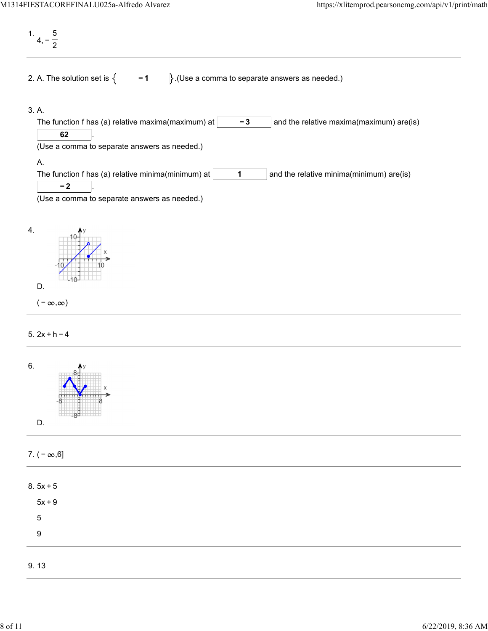1. 4, − 5 2 2. A. The solution set is  $\begin{cases} \begin{matrix} -1 \\ \end{matrix}$ . (Use a comma to separate answers as needed.) 3. A. The function f has (a) relative maxima(maximum) at  $\vert$   $\vert$   $\vert$   $\vert$   $\vert$   $\vert$  and the relative maxima(maximum) are(is) . **− 3 62** (Use a comma to separate answers as needed.) A. The function f has (a) relative minima(minimum) at  $\vert$  1  $\vert$  and the relative minima(minimum) are(is) . **1 − 2** (Use a comma to separate answers as needed.) 4.



D.

5. 2x + h − 4

| 6.<br>C<br>Х<br><del>U 11 11</del><br>────<br>-87<br>D. |  |
|---------------------------------------------------------|--|
| 7. $(-\infty, 6]$                                       |  |
| $8.5x + 5$                                              |  |
| $5x + 9$                                                |  |
| $\sqrt{5}$                                              |  |
| $\boldsymbol{9}$                                        |  |
| 9.13                                                    |  |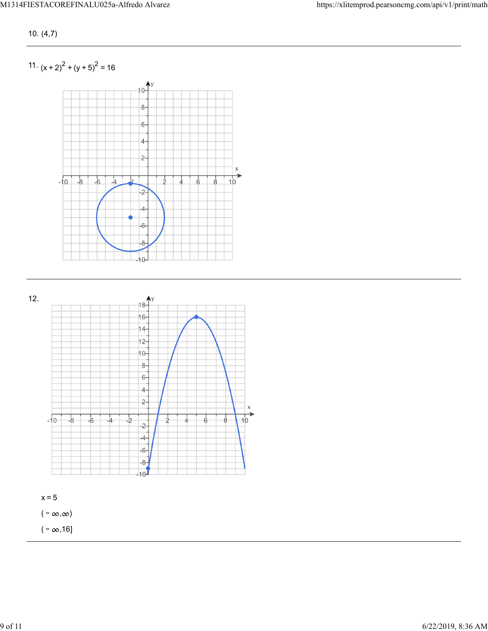10. (4,7)

11.  $(x + 2)^{2} + (y + 5)^{2} = 16$ 



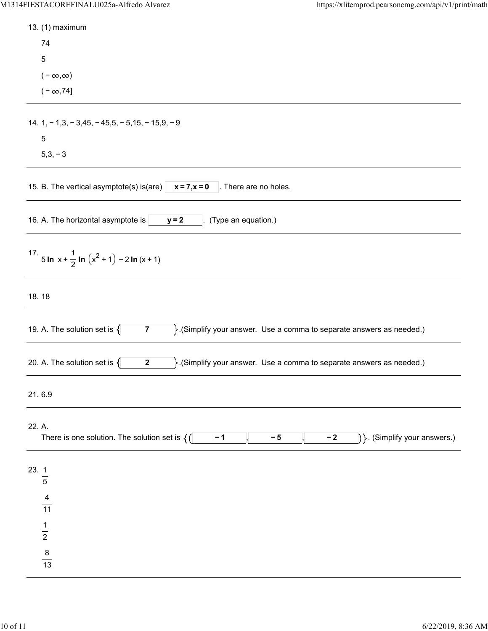| 13. (1) maximum                                                                                                                |
|--------------------------------------------------------------------------------------------------------------------------------|
| 74                                                                                                                             |
| $\overline{5}$                                                                                                                 |
| $(-\infty,\infty)$                                                                                                             |
| $(-\infty, 74]$                                                                                                                |
|                                                                                                                                |
| 14. $1, -1, 3, -3, 45, -45, 5, -5, 15, -15, 9, -9$                                                                             |
| $\sqrt{5}$                                                                                                                     |
| $5,3,-3$                                                                                                                       |
| 15. B. The vertical asymptote(s) is(are) $\vert x = 7, x = 0$<br>. There are no holes.                                         |
| 16. A. The horizontal asymptote is<br>(Type an equation.)<br>$y = 2$                                                           |
| 17. 5 In $x + \frac{1}{2}$ In $(x^2 + 1) - 2$ In $(x + 1)$                                                                     |
| 18.18                                                                                                                          |
| 19. A. The solution set is $\{$<br>$\}$ . (Simplify your answer. Use a comma to separate answers as needed.)<br>$\overline{7}$ |
| 20. A. The solution set is $\{$<br>$\}$ . (Simplify your answer. Use a comma to separate answers as needed.)<br>$\mathbf{2}$   |
| 21.6.9                                                                                                                         |
| 22. A.<br>$ \}$ . (Simplify your answers.)<br>There is one solution. The solution set is $\{()$<br>$-2$<br>$-1$<br>$-5$        |
| 23.1<br>$\overline{5}$                                                                                                         |
| $\frac{4}{11}$                                                                                                                 |
| $\frac{1}{2}$                                                                                                                  |
| $\frac{8}{13}$                                                                                                                 |